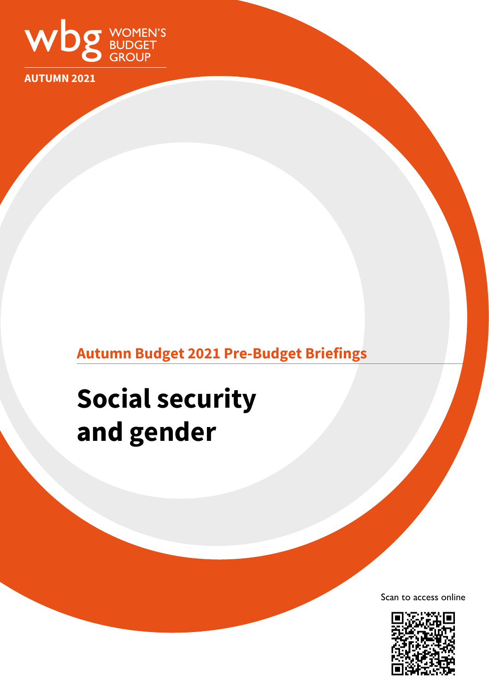

**AUTUMN 2021**

# **Autumn Budget 2021 Pre-Budget Briefings**

# **Social security and gender**

Scan to access online

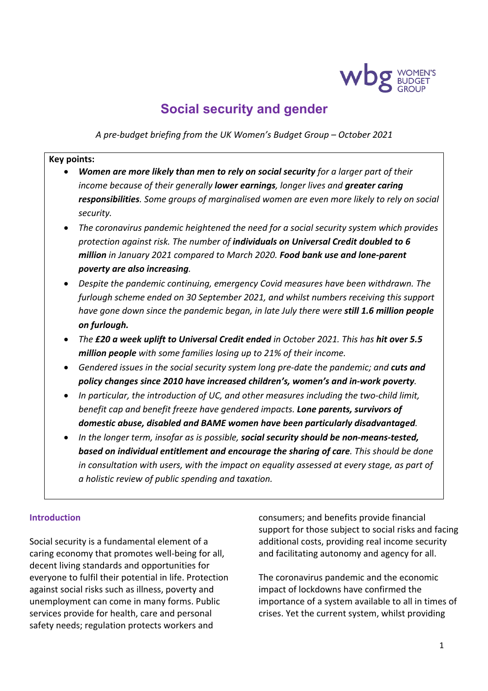

# **Social security and gender**

*A pre-budget briefing from the UK Women's Budget Group – October 2021*

#### **Key points:**

- *Women are more likely than men to rely on social security for a larger part of their income because of their generally lower earnings, longer lives and greater caring responsibilities. Some groups of marginalised women are even more likely to rely on social security.*
- *The coronavirus pandemic heightened the need for a social security system which provides protection against risk. The number of individuals on Universal Credit doubled to 6 million in January 2021 compared to March 2020. Food bank use and lone-parent poverty are also increasing.*
- *Despite the pandemic continuing, emergency Covid measures have been withdrawn. The furlough scheme ended on 30 September 2021, and whilst numbers receiving this support have gone down since the pandemic began, in late July there were still 1.6 million people on furlough.*
- *The £20 a week uplift to Universal Credit ended in October 2021. This has hit over 5.5 million people with some families losing up to 21% of their income.*
- *Gendered issues in the social security system long pre-date the pandemic; and cuts and policy changes since 2010 have increased children's, women's and in-work poverty.*
- *In particular, the introduction of UC, and other measures including the two-child limit, benefit cap and benefit freeze have gendered impacts. Lone parents, survivors of domestic abuse, disabled and BAME women have been particularly disadvantaged.*
- *In the longer term, insofar as is possible, social security should be non-means-tested, based on individual entitlement and encourage the sharing of care. This should be done in consultation with users, with the impact on equality assessed at every stage, as part of a holistic review of public spending and taxation.*

#### **Introduction**

Social security is a fundamental element of a caring economy that promotes well-being for all, decent living standards and opportunities for everyone to fulfil their potential in life. Protection against social risks such as illness, poverty and unemployment can come in many forms. Public services provide for health, care and personal safety needs; regulation protects workers and

consumers; and benefits provide financial support for those subject to social risks and facing additional costs, providing real income security and facilitating autonomy and agency for all.

The coronavirus pandemic and the economic impact of lockdowns have confirmed the importance of a system available to all in times of crises. Yet the current system, whilst providing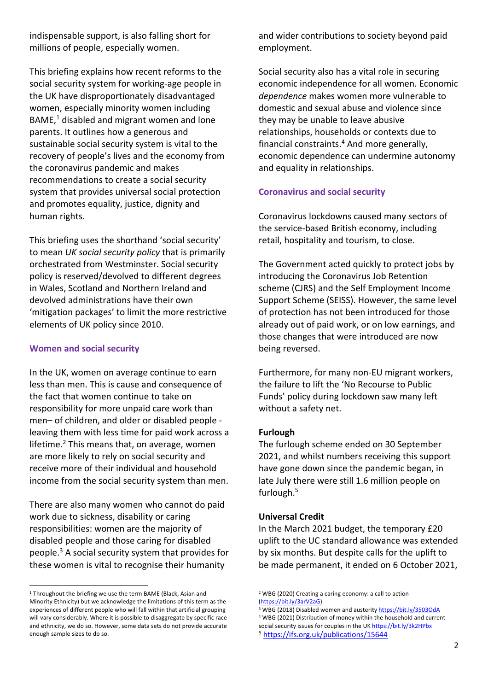indispensable support, is also falling short for millions of people, especially women.

This briefing explains how recent reforms to the social security system for working-age people in the UK have disproportionately disadvantaged women, especially minority women including BAME, <sup>1</sup> disabled and migrant women and lone parents. It outlines how a generous and sustainable social security system is vital to the recovery of people's lives and the economy from the coronavirus pandemic and makes recommendations to create a social security system that provides universal social protection and promotes equality, justice, dignity and human rights.

This briefing uses the shorthand 'social security' to mean *UK social security policy* that is primarily orchestrated from Westminster. Social security policy is reserved/devolved to different degrees in Wales, Scotland and Northern Ireland and devolved administrations have their own 'mitigation packages' to limit the more restrictive elements of UK policy since 2010.

#### **Women and social security**

In the UK, women on average continue to earn less than men. This is cause and consequence of the fact that women continue to take on responsibility for more unpaid care work than men– of children, and older or disabled people leaving them with less time for paid work across a lifetime. $2$  This means that, on average, women are more likely to rely on social security and receive more of their individual and household income from the social security system than men.

There are also many women who cannot do paid work due to sickness, disability or caring responsibilities: women are the majority of disabled people and those caring for disabled people. <sup>3</sup> A social security system that provides for these women is vital to recognise their humanity

and wider contributions to society beyond paid employment.

Social security also has a vital role in securing economic independence for all women. Economic *dependence* makes women more vulnerable to domestic and sexual abuse and violence since they may be unable to leave abusive relationships, households or contexts due to financial constraints.4 And more generally, economic dependence can undermine autonomy and equality in relationships.

# **Coronavirus and social security**

Coronavirus lockdowns caused many sectors of the service-based British economy, including retail, hospitality and tourism, to close.

The Government acted quickly to protect jobs by introducing the Coronavirus Job Retention scheme (CJRS) and the Self Employment Income Support Scheme (SEISS). However, the same level of protection has not been introduced for those already out of paid work, or on low earnings, and those changes that were introduced are now being reversed.

Furthermore, for many non-EU migrant workers, the failure to lift the 'No Recourse to Public Funds' policy during lockdown saw many left without a safety net.

## **Furlough**

The furlough scheme ended on 30 September 2021, and whilst numbers receiving this support have gone down since the pandemic began, in late July there were still 1.6 million people on furlough. 5

## **Universal Credit**

In the March 2021 budget, the temporary £20 uplift to the UC standard allowance was extended by six months. But despite calls for the uplift to be made permanent, it ended on 6 October 2021,

<sup>&</sup>lt;sup>1</sup> Throughout the briefing we use the term BAME (Black, Asian and Minority Ethnicity) but we acknowledge the limitations of this term as the experiences of different people who will fall within that artificial grouping will vary considerably. Where it is possible to disaggregate by specific race and ethnicity, we do so. However, some data sets do not provide accurate enough sample sizes to do so.

<sup>2</sup> WBG (2020) Creating a caring economy: a call to action (https://bit.ly/3arV2aG)<br><sup>3</sup> WBG (2018) Disabled women and austerity https://bit.ly/3503OdA

<sup>4</sup> WBG (2021) Distribution of money within the household and current social security issues for couples in the UK https://bit.ly/3k2HPbx 5 https://ifs.org.uk/publications/15644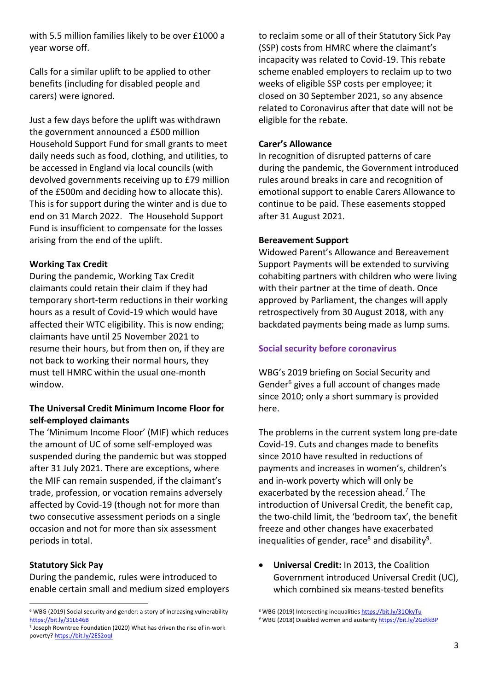with 5.5 million families likely to be over £1000 a year worse off.

Calls for a similar uplift to be applied to other benefits (including for disabled people and carers) were ignored.

Just a few days before the uplift was withdrawn the government announced a £500 million Household Support Fund for small grants to meet daily needs such as food, clothing, and utilities, to be accessed in England via local councils (with devolved governments receiving up to £79 million of the £500m and deciding how to allocate this). This is for support during the winter and is due to end on 31 March 2022. The Household Support Fund is insufficient to compensate for the losses arising from the end of the uplift.

#### **Working Tax Credit**

During the pandemic, Working Tax Credit claimants could retain their claim if they had temporary short-term reductions in their working hours as a result of Covid-19 which would have affected their WTC eligibility. This is now ending; claimants have until 25 November 2021 to resume their hours, but from then on, if they are not back to working their normal hours, they must tell HMRC within the usual one-month window.

#### **The Universal Credit Minimum Income Floor for self-employed claimants**

The 'Minimum Income Floor' (MIF) which reduces the amount of UC of some self-employed was suspended during the pandemic but was stopped after 31 July 2021. There are exceptions, where the MIF can remain suspended, if the claimant's trade, profession, or vocation remains adversely affected by Covid-19 (though not for more than two consecutive assessment periods on a single occasion and not for more than six assessment periods in total.

#### **Statutory Sick Pay**

During the pandemic, rules were introduced to enable certain small and medium sized employers to reclaim some or all of their Statutory Sick Pay (SSP) costs from HMRC where the claimant's incapacity was related to Covid-19. This rebate scheme enabled employers to reclaim up to two weeks of eligible SSP costs per employee; it closed on 30 September 2021, so any absence related to Coronavirus after that date will not be eligible for the rebate.

#### **Carer's Allowance**

In recognition of disrupted patterns of care during the pandemic, the Government introduced rules around breaks in care and recognition of emotional support to enable Carers Allowance to continue to be paid. These easements stopped after 31 August 2021.

#### **Bereavement Support**

Widowed Parent's Allowance and Bereavement Support Payments will be extended to surviving cohabiting partners with children who were living with their partner at the time of death. Once approved by Parliament, the changes will apply retrospectively from 30 August 2018, with any backdated payments being made as lump sums.

#### **Social security before coronavirus**

WBG's 2019 briefing on Social Security and Gender<sup>6</sup> gives a full account of changes made since 2010; only a short summary is provided here.

The problems in the current system long pre-date Covid-19. Cuts and changes made to benefits since 2010 have resulted in reductions of payments and increases in women's, children's and in-work poverty which will only be exacerbated by the recession ahead. <sup>7</sup> The introduction of Universal Credit, the benefit cap, the two-child limit, the 'bedroom tax', the benefit freeze and other changes have exacerbated inequalities of gender, race<sup>8</sup> and disability<sup>9</sup>.

• **Universal Credit:** In 2013, the Coalition Government introduced Universal Credit (UC), which combined six means-tested benefits

<sup>6</sup> WBG (2019) Social security and gender: a story of increasing vulnerability https://bit.ly/31L646B

<sup>7</sup> Joseph Rowntree Foundation (2020) What has driven the rise of in-work poverty? https://bit.ly/2ES2oqI

<sup>8</sup> WBG (2019) Intersecting inequalities https://bit.ly/31OkyTu

<sup>&</sup>lt;sup>9</sup> WBG (2018) Disabled women and austerity https://bit.ly/2GdtkBP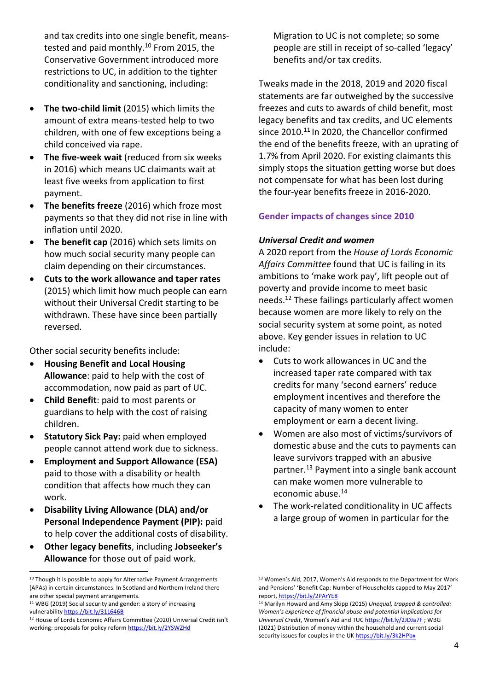and tax credits into one single benefit, meanstested and paid monthly.<sup>10</sup> From 2015, the Conservative Government introduced more restrictions to UC, in addition to the tighter conditionality and sanctioning, including:

- **The two-child limit** (2015) which limits the amount of extra means-tested help to two children, with one of few exceptions being a child conceived via rape.
- **The five-week wait** (reduced from six weeks in 2016) which means UC claimants wait at least five weeks from application to first payment.
- **The benefits freeze** (2016) which froze most payments so that they did not rise in line with inflation until 2020.
- **The benefit cap** (2016) which sets limits on how much social security many people can claim depending on their circumstances.
- **Cuts to the work allowance and taper rates** (2015) which limit how much people can earn without their Universal Credit starting to be withdrawn. These have since been partially reversed.

Other social security benefits include:

- **Housing Benefit and Local Housing Allowance**: paid to help with the cost of accommodation, now paid as part of UC.
- **Child Benefit**: paid to most parents or guardians to help with the cost of raising children.
- **Statutory Sick Pay:** paid when employed people cannot attend work due to sickness.
- **Employment and Support Allowance (ESA)**  paid to those with a disability or health condition that affects how much they can work.
- **Disability Living Allowance (DLA) and/or Personal Independence Payment (PIP):** paid to help cover the additional costs of disability.
- **Other legacy benefits**, including **Jobseeker's Allowance** for those out of paid work.

Migration to UC is not complete; so some people are still in receipt of so-called 'legacy' benefits and/or tax credits.

Tweaks made in the 2018, 2019 and 2020 fiscal statements are far outweighed by the successive freezes and cuts to awards of child benefit, most legacy benefits and tax credits, and UC elements since 2010.<sup>11</sup> In 2020, the Chancellor confirmed the end of the benefits freeze, with an uprating of 1.7% from April 2020. For existing claimants this simply stops the situation getting worse but does not compensate for what has been lost during the four-year benefits freeze in 2016-2020.

# **Gender impacts of changes since 2010**

# *Universal Credit and women*

A 2020 report from the *House of Lords Economic Affairs Committee* found that UC is failing in its ambitions to 'make work pay', lift people out of poverty and provide income to meet basic needs. <sup>12</sup> These failings particularly affect women because women are more likely to rely on the social security system at some point, as noted above. Key gender issues in relation to UC include:

- Cuts to work allowances in UC and the increased taper rate compared with tax credits for many 'second earners' reduce employment incentives and therefore the capacity of many women to enter employment or earn a decent living.
- Women are also most of victims/survivors of domestic abuse and the cuts to payments can leave survivors trapped with an abusive partner. <sup>13</sup> Payment into a single bank account can make women more vulnerable to economic abuse. 14
- The work-related conditionality in UC affects a large group of women in particular for the

<sup>&</sup>lt;sup>10</sup> Though it is possible to apply for Alternative Payment Arrangements (APAs) in certain circumstances. In Scotland and Northern Ireland there are other special payment arrangements.

<sup>&</sup>lt;sup>11</sup> WBG (2019) Social security and gender: a story of increasing vulnerability https://bit.ly/31L646B

<sup>12</sup> House of Lords Economic Affairs Committee (2020) Universal Credit isn't working: proposals for policy reform https://bit.ly/2YSWZHd

<sup>13</sup> Women's Aid, 2017, Women's Aid responds to the Department for Work and Pensions' 'Benefit Cap: Number of Households capped to May 2017' report, https://bit.ly/2PArYE8

<sup>14</sup> Marilyn Howard and Amy Skipp (2015) *Unequal, trapped & controlled: Women's experience of financial abuse and potential implications for Universal Credit*, Women's Aid and TUC https://bit.ly/2JDJa7F ; WBG (2021) Distribution of money within the household and current social security issues for couples in the UK https://bit.ly/3k2HPbx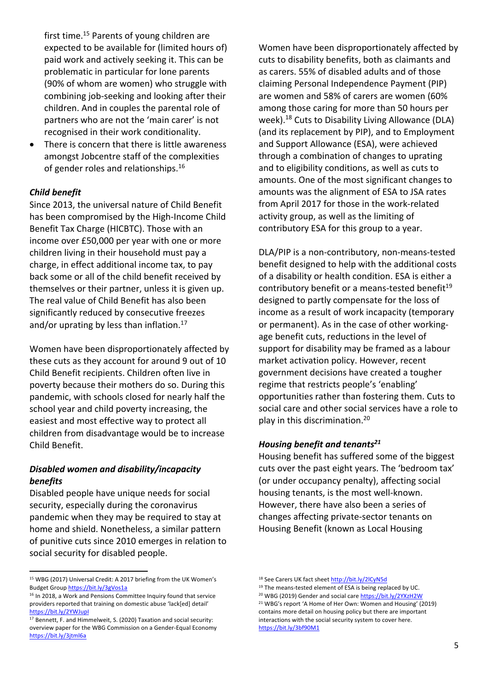first time. <sup>15</sup> Parents of young children are expected to be available for (limited hours of) paid work and actively seeking it. This can be problematic in particular for lone parents (90% of whom are women) who struggle with combining job-seeking and looking after their children. And in couples the parental role of partners who are not the 'main carer' is not recognised in their work conditionality.

There is concern that there is little awareness amongst Jobcentre staff of the complexities of gender roles and relationships.<sup>16</sup>

#### *Child benefit*

Since 2013, the universal nature of Child Benefit has been compromised by the High-Income Child Benefit Tax Charge (HICBTC). Those with an income over £50,000 per year with one or more children living in their household must pay a charge, in effect additional income tax, to pay back some or all of the child benefit received by themselves or their partner, unless it is given up. The real value of Child Benefit has also been significantly reduced by consecutive freezes and/or uprating by less than inflation.<sup>17</sup>

Women have been disproportionately affected by these cuts as they account for around 9 out of 10 Child Benefit recipients. Children often live in poverty because their mothers do so. During this pandemic, with schools closed for nearly half the school year and child poverty increasing, the easiest and most effective way to protect all children from disadvantage would be to increase Child Benefit.

#### *Disabled women and disability/incapacity benefits*

Disabled people have unique needs for social security, especially during the coronavirus pandemic when they may be required to stay at home and shield. Nonetheless, a similar pattern of punitive cuts since 2010 emerges in relation to social security for disabled people.

Women have been disproportionately affected by cuts to disability benefits, both as claimants and as carers. 55% of disabled adults and of those claiming Personal Independence Payment (PIP) are women and 58% of carers are women (60% among those caring for more than 50 hours per week). <sup>18</sup> Cuts to Disability Living Allowance (DLA) (and its replacement by PIP), and to Employment and Support Allowance (ESA), were achieved through a combination of changes to uprating and to eligibility conditions, as well as cuts to amounts. One of the most significant changes to amounts was the alignment of ESA to JSA rates from April 2017 for those in the work-related activity group, as well as the limiting of contributory ESA for this group to a year.

DLA/PIP is a non-contributory, non-means-tested benefit designed to help with the additional costs of a disability or health condition. ESA is either a contributory benefit or a means-tested benefit<sup>19</sup> designed to partly compensate for the loss of income as a result of work incapacity (temporary or permanent). As in the case of other workingage benefit cuts, reductions in the level of support for disability may be framed as a labour market activation policy. However, recent government decisions have created a tougher regime that restricts people's 'enabling' opportunities rather than fostering them. Cuts to social care and other social services have a role to play in this discrimination. 20

#### *Housing benefit and tenants21*

Housing benefit has suffered some of the biggest cuts over the past eight years. The 'bedroom tax' (or under occupancy penalty), affecting social housing tenants, is the most well-known. However, there have also been a series of changes affecting private-sector tenants on Housing Benefit (known as Local Housing

<sup>15</sup> WBG (2017) Universal Credit: A 2017 briefing from the UK Women's Budget Group https://bit.ly/3gVos1a

<sup>&</sup>lt;sup>16</sup> In 2018, a Work and Pensions Committee Inquiry found that service providers reported that training on domestic abuse 'lack[ed] detail' https://bit.ly/2YWJupI

<sup>&</sup>lt;sup>17</sup> Bennett, F. and Himmelweit, S. (2020) Taxation and social security: overview paper for the WBG Commission on a Gender-Equal Economy https://bit.ly/3jtml6a

<sup>18</sup> See Carers UK fact sheet http://bit.ly/2lCyN5d

<sup>19</sup> The means-tested element of ESA is being replaced by UC.

<sup>&</sup>lt;sup>20</sup> WBG (2019) Gender and social care https://bit.ly/2YXzH2W

<sup>21</sup> WBG's report 'A Home of Her Own: Women and Housing' (2019) contains more detail on housing policy but there are important interactions with the social security system to cover here. https://bit.ly/3bf90M1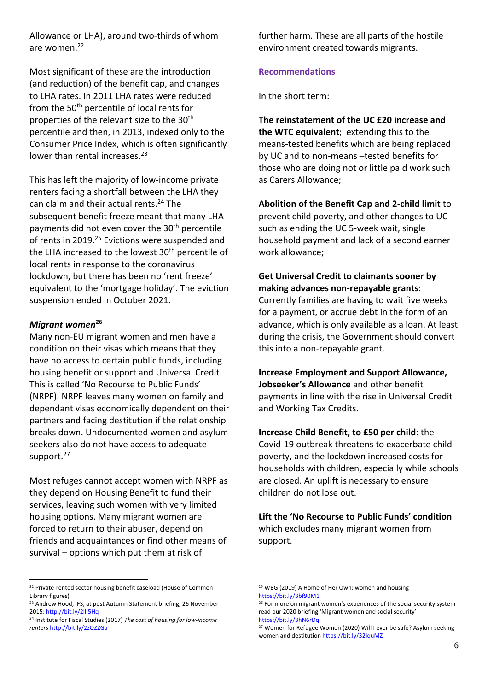Allowance or LHA), around two-thirds of whom are women. 22

Most significant of these are the introduction (and reduction) of the benefit cap, and changes to LHA rates. In 2011 LHA rates were reduced from the 50<sup>th</sup> percentile of local rents for properties of the relevant size to the 30<sup>th</sup> percentile and then, in 2013, indexed only to the Consumer Price Index, which is often significantly lower than rental increases.<sup>23</sup>

This has left the majority of low-income private renters facing a shortfall between the LHA they can claim and their actual rents. <sup>24</sup> The subsequent benefit freeze meant that many LHA payments did not even cover the 30<sup>th</sup> percentile of rents in 2019.<sup>25</sup> Evictions were suspended and the LHA increased to the lowest 30<sup>th</sup> percentile of local rents in response to the coronavirus lockdown, but there has been no 'rent freeze' equivalent to the 'mortgage holiday'. The eviction suspension ended in October 2021.

#### *Migrant women***<sup>26</sup>**

Many non-EU migrant women and men have a condition on their visas which means that they have no access to certain public funds, including housing benefit or support and Universal Credit. This is called 'No Recourse to Public Funds' (NRPF). NRPF leaves many women on family and dependant visas economically dependent on their partners and facing destitution if the relationship breaks down. Undocumented women and asylum seekers also do not have access to adequate support.<sup>27</sup>

Most refuges cannot accept women with NRPF as they depend on Housing Benefit to fund their services, leaving such women with very limited housing options. Many migrant women are forced to return to their abuser, depend on friends and acquaintances or find other means of survival – options which put them at risk of

further harm. These are all parts of the hostile environment created towards migrants.

#### **Recommendations**

In the short term:

**The reinstatement of the UC £20 increase and the WTC equivalent**; extending this to the means-tested benefits which are being replaced by UC and to non-means –tested benefits for those who are doing not or little paid work such as Carers Allowance;

**Abolition of the Benefit Cap and 2-child limit** to prevent child poverty, and other changes to UC such as ending the UC 5-week wait, single household payment and lack of a second earner work allowance;

#### **Get Universal Credit to claimants sooner by making advances non-repayable grants**:

Currently families are having to wait five weeks for a payment, or accrue debt in the form of an advance, which is only available as a loan. At least during the crisis, the Government should convert this into a non-repayable grant.

**Increase Employment and Support Allowance, Jobseeker's Allowance** and other benefit payments in line with the rise in Universal Credit and Working Tax Credits.

**Increase Child Benefit, to £50 per child**: the Covid-19 outbreak threatens to exacerbate child poverty, and the lockdown increased costs for households with children, especially while schools are closed. An uplift is necessary to ensure children do not lose out.

**Lift the 'No Recourse to Public Funds' condition** which excludes many migrant women from support.

<sup>&</sup>lt;sup>22</sup> Private-rented sector housing benefit caseload (House of Common Library figures)

<sup>&</sup>lt;sup>23</sup> Andrew Hood, IFS, at post Autumn Statement briefing, 26 November 2015: http://bit.ly/2llI5Hq

<sup>24</sup> Institute for Fiscal Studies (2017) *The cost of housing for low-income renters* http://bit.ly/2zQZZGa

<sup>&</sup>lt;sup>25</sup> WBG (2019) A Home of Her Own: women and housing https://bit.ly/3bf90M1

<sup>&</sup>lt;sup>26</sup> For more on migrant women's experiences of the social security system read our 2020 briefing 'Migrant women and social security' https://bit.ly/3hN6rDq

 $27$  Women for Refugee Women (2020) Will I ever be safe? Asylum seeking women and destitution https://bit.ly/32IquMZ